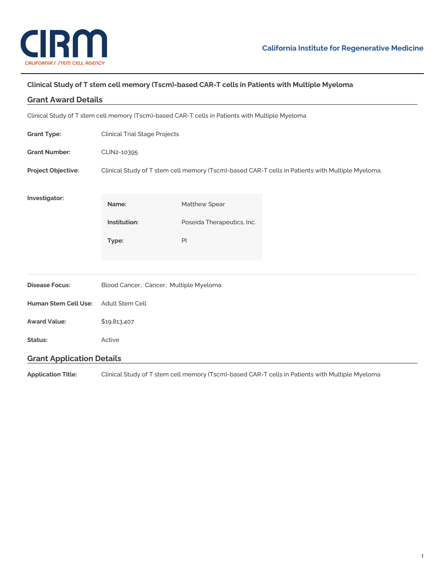

## **Clinical Study of T stem cell memory (Tscm)-based CAR-T cells in Patients with Multiple Myeloma**

| <b>Grant Award Details</b>                                                                      |                                                                                                  |                            |  |
|-------------------------------------------------------------------------------------------------|--------------------------------------------------------------------------------------------------|----------------------------|--|
| Clinical Study of T stem cell memory (Tscm)-based CAR-T cells in Patients with Multiple Myeloma |                                                                                                  |                            |  |
| <b>Grant Type:</b>                                                                              | <b>Clinical Trial Stage Projects</b>                                                             |                            |  |
| <b>Grant Number:</b>                                                                            | CLIN2-10395                                                                                      |                            |  |
| Project Objective:                                                                              | Clinical Study of T stem cell memory (Tscm)-based CAR-T cells in Patients with Multiple Myeloma. |                            |  |
|                                                                                                 |                                                                                                  |                            |  |
| Investigator:                                                                                   | Name:                                                                                            | Matthew Spear              |  |
|                                                                                                 | Institution:                                                                                     | Poseida Therapeutics, Inc. |  |
|                                                                                                 | Type:                                                                                            | PI                         |  |
|                                                                                                 |                                                                                                  |                            |  |
|                                                                                                 |                                                                                                  |                            |  |
| <b>Disease Focus:</b>                                                                           | Blood Cancer, Cancer, Multiple Myeloma                                                           |                            |  |
| Human Stem Cell Use:                                                                            | Adult Stem Cell                                                                                  |                            |  |
| <b>Award Value:</b>                                                                             | \$19,813,407                                                                                     |                            |  |
| Status:                                                                                         | Active                                                                                           |                            |  |
| <b>Grant Application Details</b>                                                                |                                                                                                  |                            |  |
|                                                                                                 |                                                                                                  |                            |  |

**Application Title:** Clinical Study of T stem cell memory (Tscm)-based CAR-T cells in Patients with Multiple Myeloma